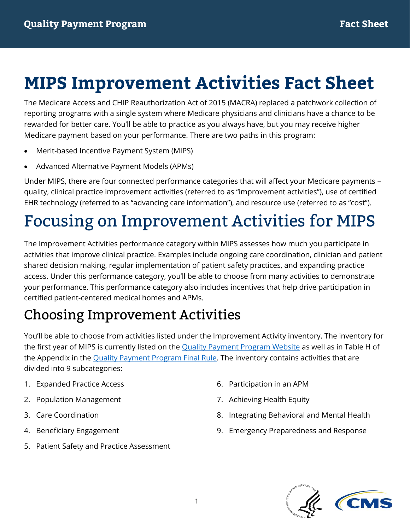The Medicare Access and CHIP Reauthorization Act of 2015 (MACRA) replaced a patchwork collection of reporting programs with a single system where Medicare physicians and clinicians have a chance to be rewarded for better care. You'll be able to practice as you always have, but you may receive higher Medicare payment based on your performance. There are two paths in this program:

- Merit-based Incentive Payment System (MIPS)
- Advanced Alternative Payment Models (APMs)

Under MIPS, there are four connected performance categories that will affect your Medicare payments – quality, clinical practice improvement activities (referred to as "improvement activities"), use of certified EHR technology (referred to as "advancing care information"), and resource use (referred to as "cost").

# Focusing on Improvement Activities for MIPS

The Improvement Activities performance category within MIPS assesses how much you participate in activities that improve clinical practice. Examples include ongoing care coordination, clinician and patient shared decision making, regular implementation of patient safety practices, and expanding practice access. Under this performance category, you'll be able to choose from many activities to demonstrate your performance. This performance category also includes incentives that help drive participation in certified patient-centered medical homes and APMs.

## Choosing Improvement Activities

You'll be able to choose from activities listed under the Improvement Activity inventory. The inventory for the first year of MIPS is currently listed on the [Quality Payment Program Website](https://qpp.cms.gov/measures/ia) as well as in Table H of the Appendix in the [Quality Payment Program Final Rule.](https://www.gpo.gov/fdsys/pkg/FR-2016-11-04/pdf/2016-25240.pdf) The inventory contains activities that are divided into 9 subcategories:

- 1. Expanded Practice Access
- 2. Population Management
- 3. Care Coordination
- 4. Beneficiary Engagement
- 5. Patient Safety and Practice Assessment
- 6. Participation in an APM
- 7. Achieving Health Equity
- 8. Integrating Behavioral and Mental Health
- 9. Emergency Preparedness and Response

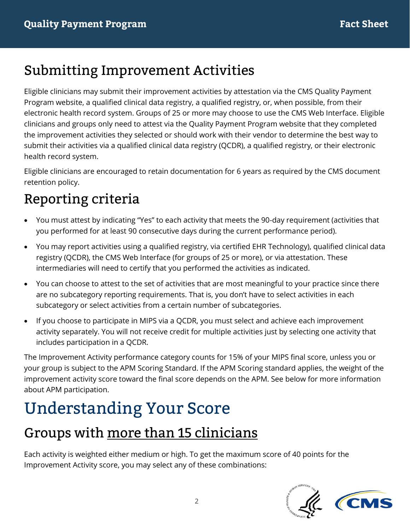#### Submitting Improvement Activities

Eligible clinicians may submit their improvement activities by attestation via the CMS Quality Payment Program website, a qualified clinical data registry, a qualified registry, or, when possible, from their electronic health record system. Groups of 25 or more may choose to use the CMS Web Interface. Eligible clinicians and groups only need to attest via the Quality Payment Program website that they completed the improvement activities they selected or should work with their vendor to determine the best way to submit their activities via a qualified clinical data registry (QCDR), a qualified registry, or their electronic health record system.

Eligible clinicians are encouraged to retain documentation for 6 years as required by the CMS document retention policy.

## Reporting criteria

- You must attest by indicating "Yes" to each activity that meets the 90-day requirement (activities that you performed for at least 90 consecutive days during the current performance period).
- You may report activities using a qualified registry, via certified EHR Technology), qualified clinical data registry (QCDR), the CMS Web Interface (for groups of 25 or more), or via attestation. These intermediaries will need to certify that you performed the activities as indicated.
- You can choose to attest to the set of activities that are most meaningful to your practice since there are no subcategory reporting requirements. That is, you don't have to select activities in each subcategory or select activities from a certain number of subcategories.
- If you choose to participate in MIPS via a QCDR, you must select and achieve each improvement activity separately. You will not receive credit for multiple activities just by selecting one activity that includes participation in a QCDR.

The Improvement Activity performance category counts for 15% of your MIPS final score, unless you or your group is subject to the APM Scoring Standard. If the APM Scoring standard applies, the weight of the improvement activity score toward the final score depends on the APM. See below for more information about APM participation.

# Understanding Your Score

## Groups with more than 15 clinicians

Each activity is weighted either medium or high. To get the maximum score of 40 points for the Improvement Activity score, you may select any of these combinations:

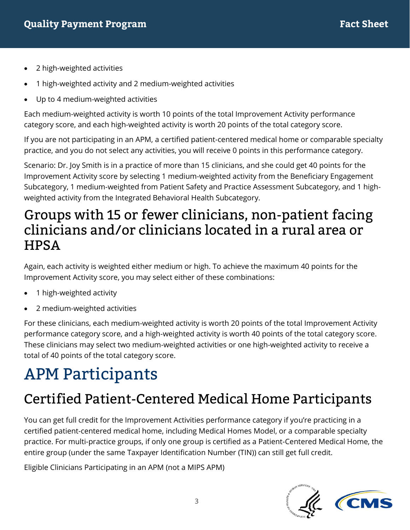- 2 high-weighted activities
- 1 high-weighted activity and 2 medium-weighted activities
- Up to 4 medium-weighted activities

Each medium-weighted activity is worth 10 points of the total Improvement Activity performance category score, and each high-weighted activity is worth 20 points of the total category score.

If you are not participating in an APM, a certified patient-centered medical home or comparable specialty practice, and you do not select any activities, you will receive 0 points in this performance category.

Scenario: Dr. Joy Smith is in a practice of more than 15 clinicians, and she could get 40 points for the Improvement Activity score by selecting 1 medium-weighted activity from the Beneficiary Engagement Subcategory, 1 medium-weighted from Patient Safety and Practice Assessment Subcategory, and 1 highweighted activity from the Integrated Behavioral Health Subcategory.

#### Groups with 15 or fewer clinicians, non-patient facing clinicians and/or clinicians located in a rural area or **HPSA**

Again, each activity is weighted either medium or high. To achieve the maximum 40 points for the Improvement Activity score, you may select either of these combinations:

- 1 high-weighted activity
- 2 medium-weighted activities

For these clinicians, each medium-weighted activity is worth 20 points of the total Improvement Activity performance category score, and a high-weighted activity is worth 40 points of the total category score. These clinicians may select two medium-weighted activities or one high-weighted activity to receive a total of 40 points of the total category score.

## APM Participants

## Certified Patient-Centered Medical Home Participants

You can get full credit for the Improvement Activities performance category if you're practicing in a certified patient-centered medical home, including Medical Homes Model, or a comparable specialty practice. For multi-practice groups, if only one group is certified as a Patient-Centered Medical Home, the entire group (under the same Taxpayer Identification Number (TIN)) can still get full credit.

Eligible Clinicians Participating in an APM (not a MIPS APM)



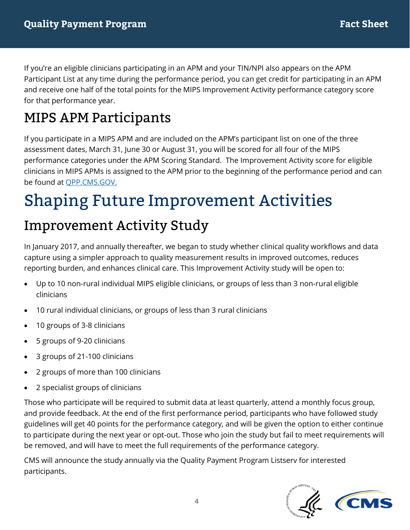If you're an eligible clinicians participating in an APM and your TIN/NPI also appears on the APM Participant List at any time during the performance period, you can get credit for participating in an APM and receive one half of the total points for the MIPS Improvement Activity performance category score for that performance year.

## MIPS APM Participants

If you participate in a MIPS APM and are included on the APM's participant list on one of the three assessment dates, March 31, June 30 or August 31, you will be scored for all four of the MIPS performance categories under the APM Scoring Standard. The Improvement Activity score for eligible clinicians in MIPS APMs is assigned to the APM prior to the beginning of the performance period and can be found at [QPP.CMS.GOV.](https://qpp.cms.gov/docs/QPP_APMs_and_Improvement_Activities.pdf) 

# Shaping Future Improvement Activities

#### Improvement Activity Study

In January 2017, and annually thereafter, we began to study whether clinical quality workflows and data capture using a simpler approach to quality measurement results in improved outcomes, reduces reporting burden, and enhances clinical care. This Improvement Activity study will be open to:

- Up to 10 non-rural individual MIPS eligible clinicians, or groups of less than 3 non-rural eligible clinicians
- 10 rural individual clinicians, or groups of less than 3 rural clinicians
- 10 groups of 3-8 clinicians
- 5 groups of 9-20 clinicians
- 3 groups of 21-100 clinicians
- 2 groups of more than 100 clinicians
- 2 specialist groups of clinicians

Those who participate will be required to submit data at least quarterly, attend a monthly focus group, and provide feedback. At the end of the first performance period, participants who have followed study guidelines will get 40 points for the performance category, and will be given the option to either continue to participate during the next year or opt-out. Those who join the study but fail to meet requirements will be removed, and will have to meet the full requirements of the performance category.

CMS will announce the study annually via the Quality Payment Program Listserv for interested participants.